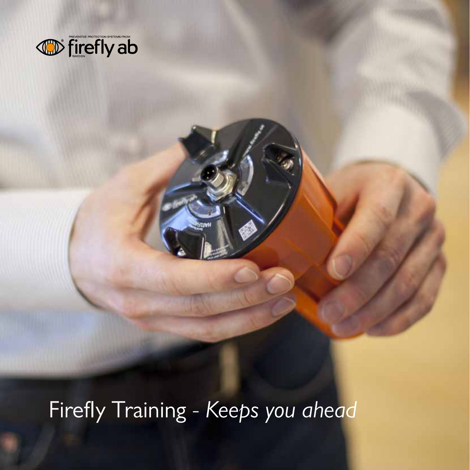

Firefly Training - *Keeps you ahead*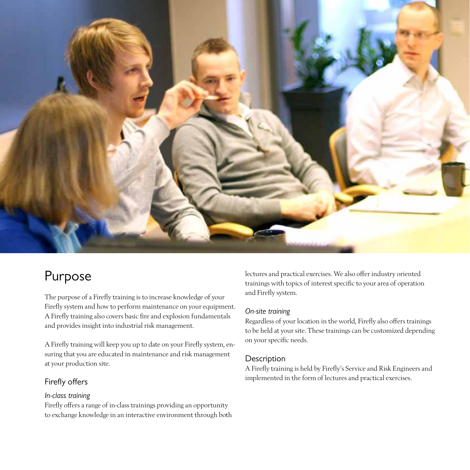

# Purpose

The purpose of a Firefly training is to increase knowledge of your Firefly system and how to perform maintenance on your equipment. A Firefly training also covers basic fire and explosion fundamentals and provides insight into industrial risk management.

A Firefly training will keep you up to date on your Firefly system, ensuring that you are educated in maintenance and risk management at your production site.

## Firefly offers

#### *In-class training*

Firefly offers a range of in-class trainings providing an opportunity to exchange knowledge in an interactive environment through both lectures and practical exercises. We also offer industry oriented trainings with topics of interest specific to your area of operation and Firefly system.

#### *On-site training*

Regardless of your location in the world, Firefly also offers trainings to be held at your site. These trainings can be customized depending on your specific needs.

#### Description

A Firefly training is held by Firefly's Service and Risk Engineers and implemented in the form of lectures and practical exercises.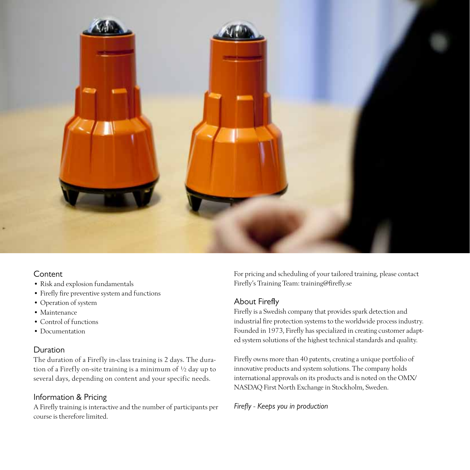

### Content

- • Risk and explosion fundamentals
- • Firefly fire preventive system and functions
- • Operation of system
- • Maintenance
- • Control of functions
- Documentation

## Duration

The duration of a Firefly in-class training is 2 days. The duration of a Firefly on-site training is a minimum of ½ day up to several days, depending on content and your specific needs.

# Information & Pricing

A Firefly training is interactive and the number of participants per course is therefore limited.

For pricing and scheduling of your tailored training, please contact Firefly's Training Team: training@firefly.se

# About Firefly

Firefly is a Swedish company that provides spark detection and industrial fire protection systems to the worldwide process industry. Founded in 1973, Firefly has specialized in creating customer adapted system solutions of the highest technical standards and quality.

Firefly owns more than 40 patents, creating a unique portfolio of innovative products and system solutions. The company holds international approvals on its products and is noted on the OMX/ NASDAQ First North Exchange in Stockholm, Sweden.

*Firefly - Keeps you in production*